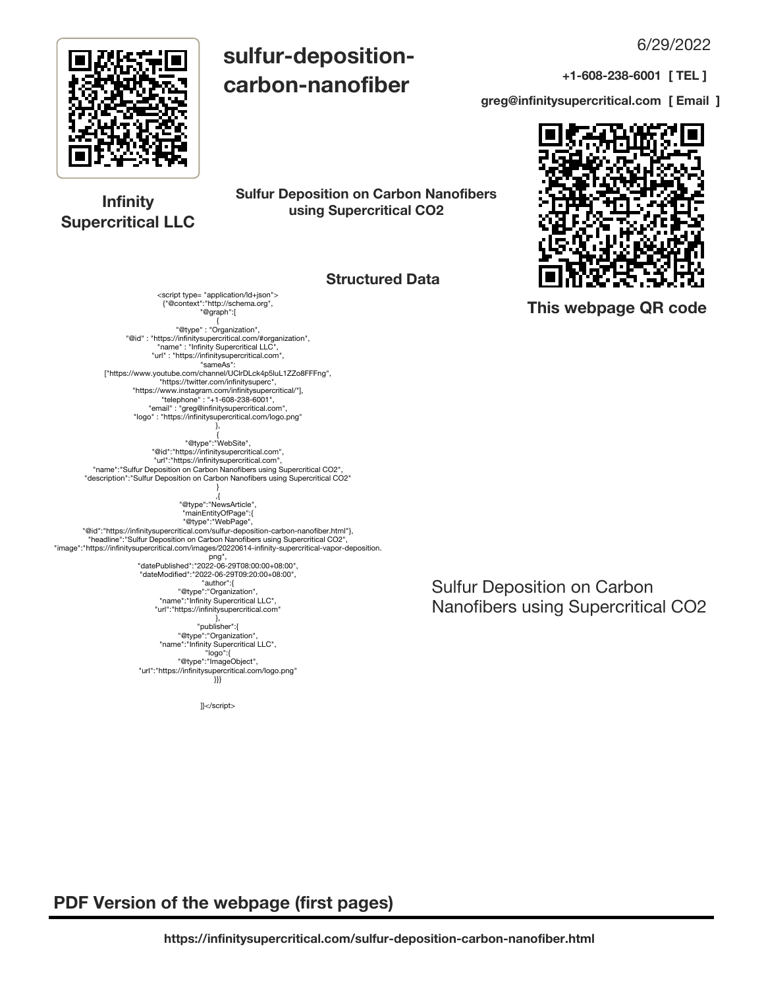6/29/2022

**+1-608-238-6001 [ TEL ]**

**greg@infinitysupercritical.com [ Email ]**

 **This webpage QR code**



**Infinity Supercritical LLC**

## **Sulfur Deposition on Carbon Nanofibers using Supercritical CO2**

**sulfur-deposition-**

**carbon-nanofiber**

## **Structured Data**

<script type= "application/ld+json"> {"@context":"http://schema.org", "@graph":[

{ "@type" : "Organization", "@id" : "https://infinitysupercritical.com/#organization", "name" : "Infinity Supercritical LLC", "url" : "https://infinitysupercritical.com", "sameAs":

["https://www.youtube.com/channel/UClrDLck4p5luL1ZZo8FFFng", "https://twitter.com/infinitysuperc", "https://www.instagram.com/infinitysupercritical/"], "telephone" : "+1-608-238-6001", "email" : "greg@infinitysupercritical.com", "logo" : "https://infinitysupercritical.com/logo.png" },

{ "@type":"WebSite", "@id":"https://infinitysupercritical.com", "url":"https://infinitysupercritical.com", "name":"Sulfur Deposition on Carbon Nanofibers using Supercritical CO2", "description":"Sulfur Deposition on Carbon Nanofibers using Supercritical CO2" }

},<br>,"@type":"NewsArticle", "mainEntityOfPage":{ "@type":"WebPage",

"@id":"https://infinitysupercritical.com/sulfur-deposition-carbon-nanofiber.html"}, "headline":"Sulfur Deposition on Carbon Nanofibers using Supercritical CO2", "image":"https://infinitysupercritical.com/images/20220614-infinity-supercritical-vapor-deposition.

png", "datePublished":"2022-06-29T08:00:00+08:00", "dateModified":"2022-06-29T09:20:00+08:00", }:"author":<br>,"@type":"Organization",<br>"name":"Infinity Supercritical LLC",

"url":"https://infinitysupercritical.com"

}, "publisher":{ "@type":"Organization", "name":"Infinity Supercritical LLC", "logo":{ "@type":"ImageObject", "url":"https://infinitysupercritical.com/logo.png" }}}

]}</script>

Sulfur Deposition on Carbon Nanofibers using Supercritical CO2

 **PDF Version of the webpage (first pages)**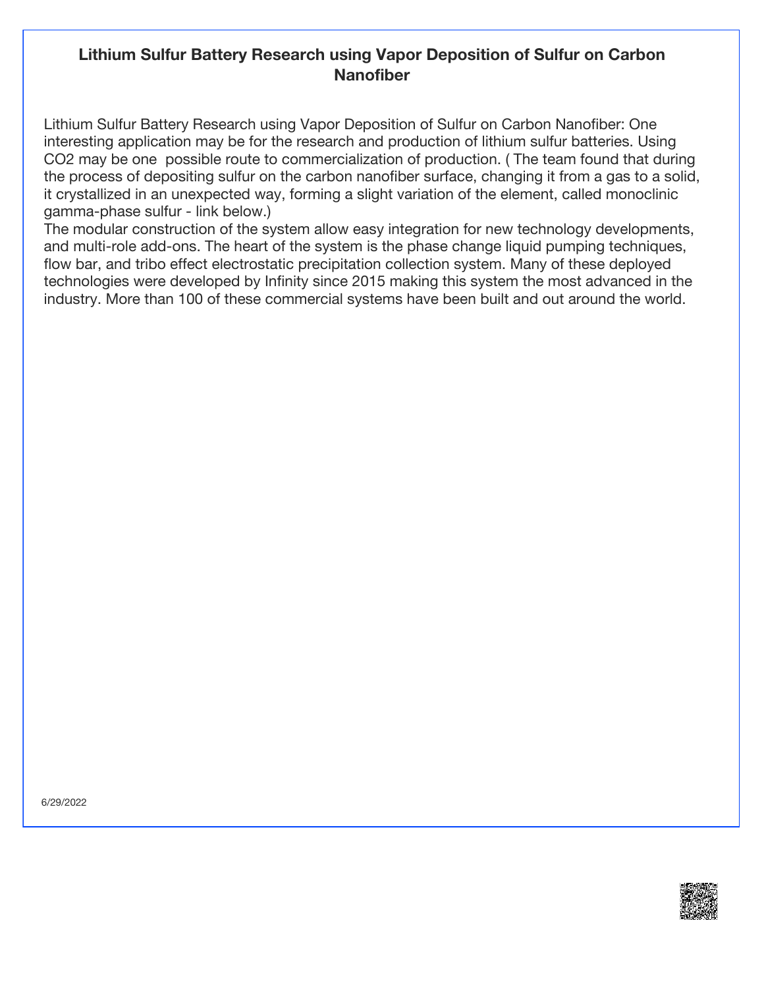## **Lithium Sulfur Battery Research using Vapor Deposition of Sulfur on Carbon Nanofiber**

Lithium Sulfur Battery Research using Vapor Deposition of Sulfur on Carbon Nanofiber: One interesting application may be for the research and production of lithium sulfur batteries. Using CO2 may be one possible route to commercialization of production. ( The team found that during the process of depositing sulfur on the carbon nanofiber surface, changing it from a gas to a solid, it crystallized in an unexpected way, forming a slight variation of the element, called monoclinic gamma-phase sulfur - link below.)

The modular construction of the system allow easy integration for new technology developments, and multi-role add-ons. The heart of the system is the phase change liquid pumping techniques, flow bar, and tribo effect electrostatic precipitation collection system. Many of these deployed technologies were developed by Infinity since 2015 making this system the most advanced in the industry. More than 100 of these commercial systems have been built and out around the world.

6/29/2022

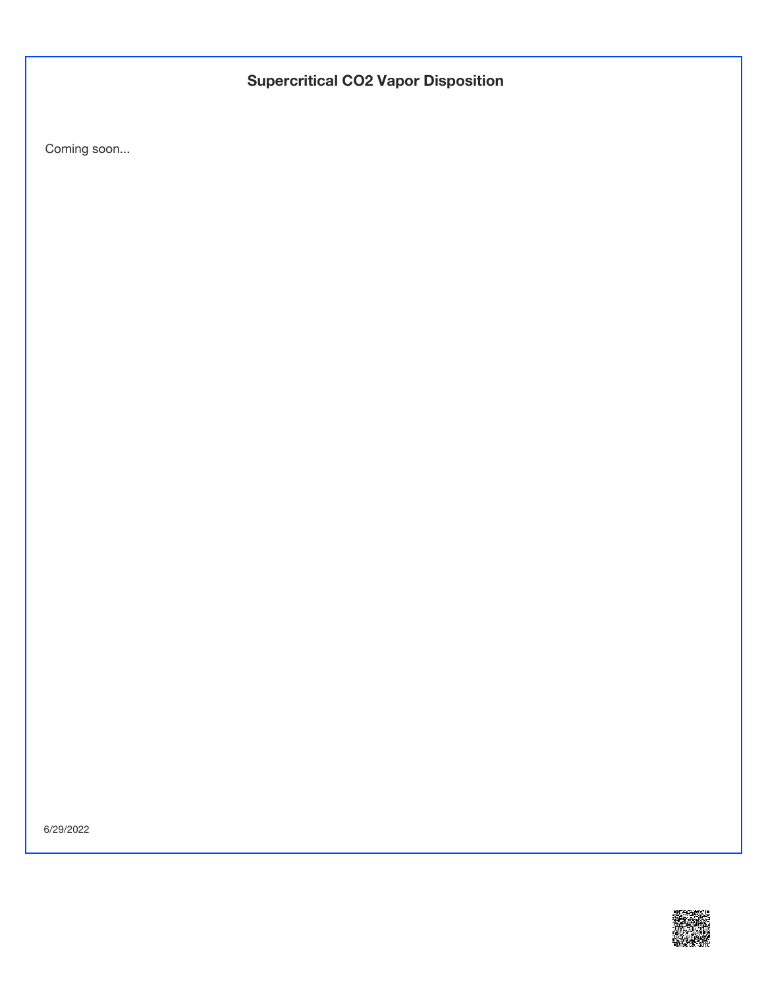## **Supercritical CO2 Vapor Disposition**

Coming soon...

6/29/2022

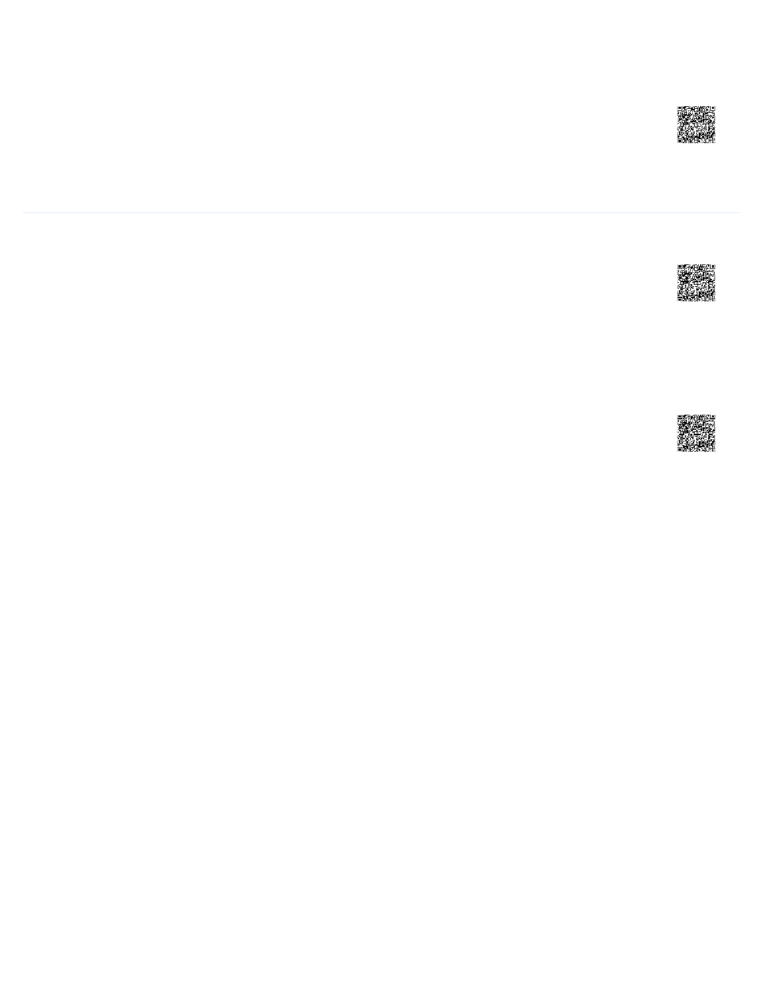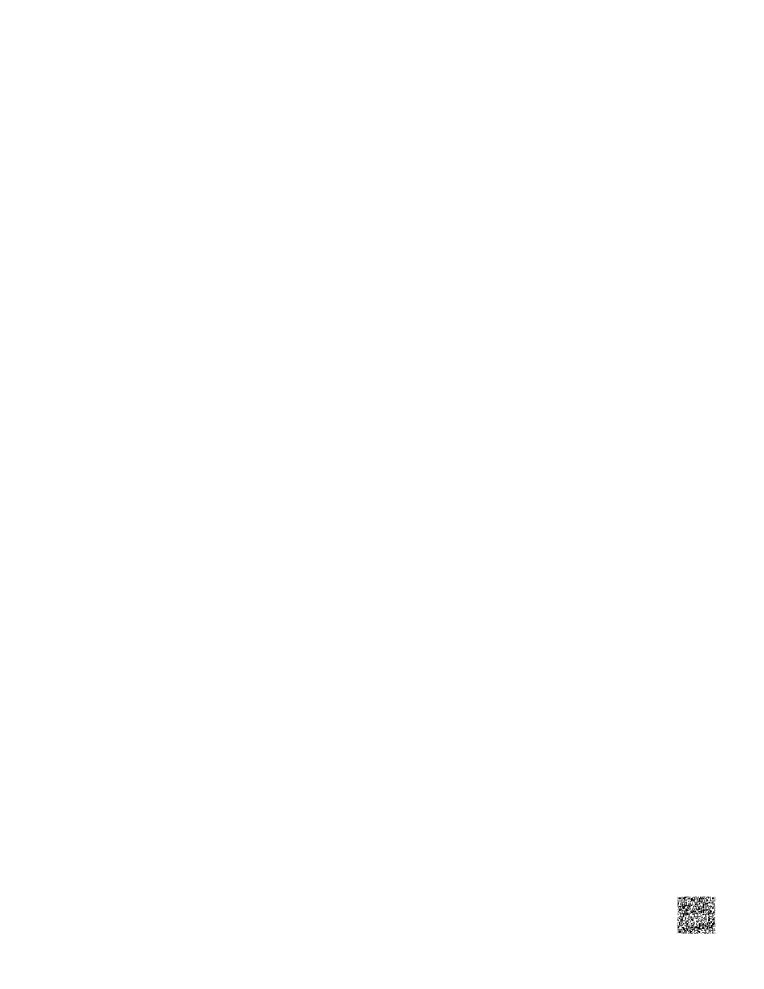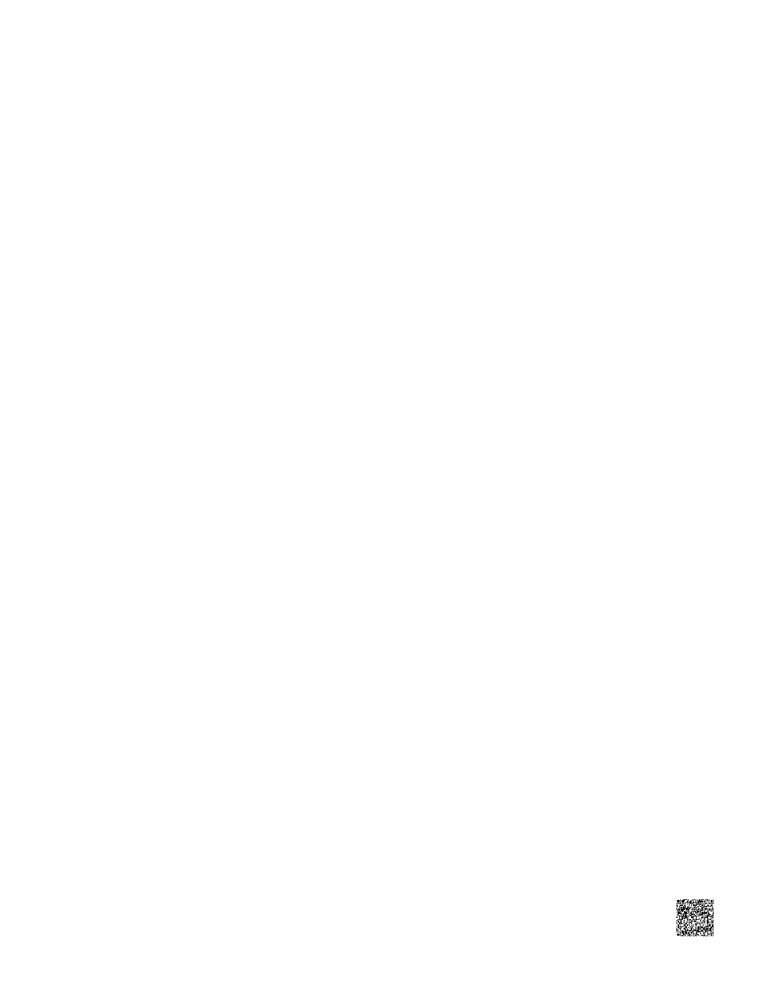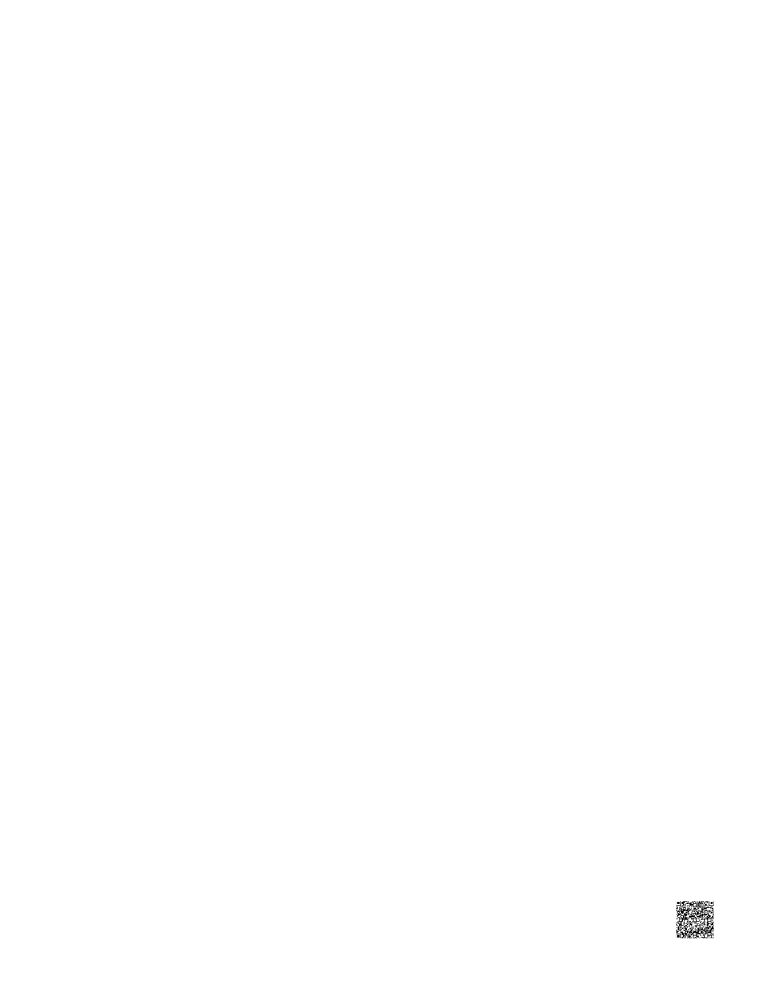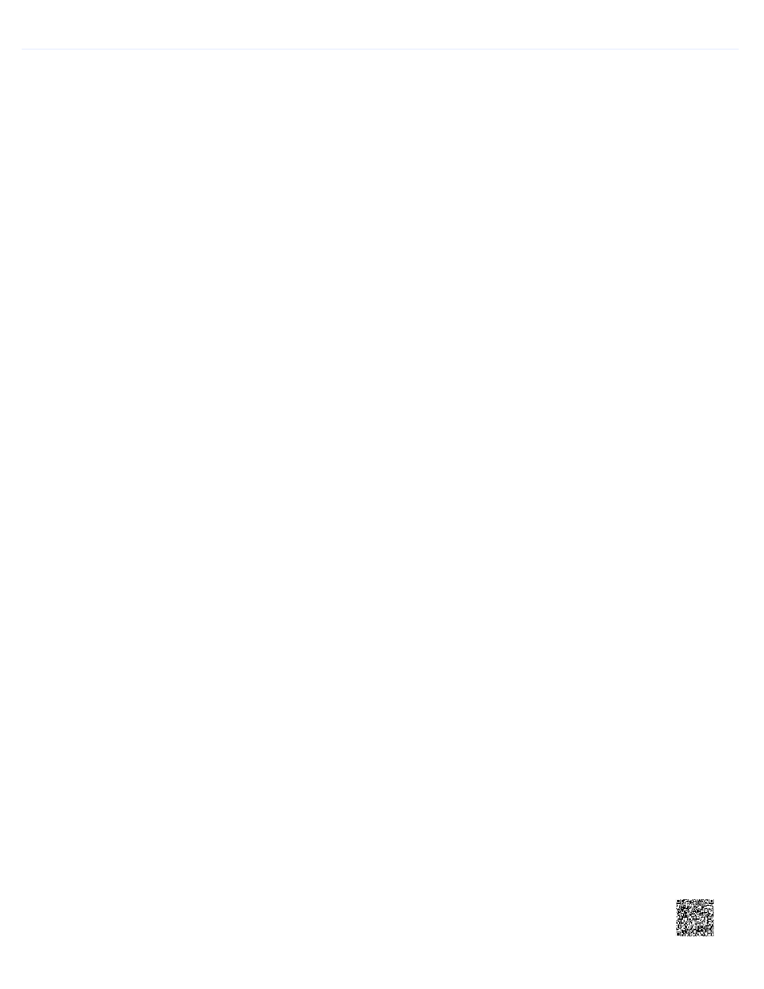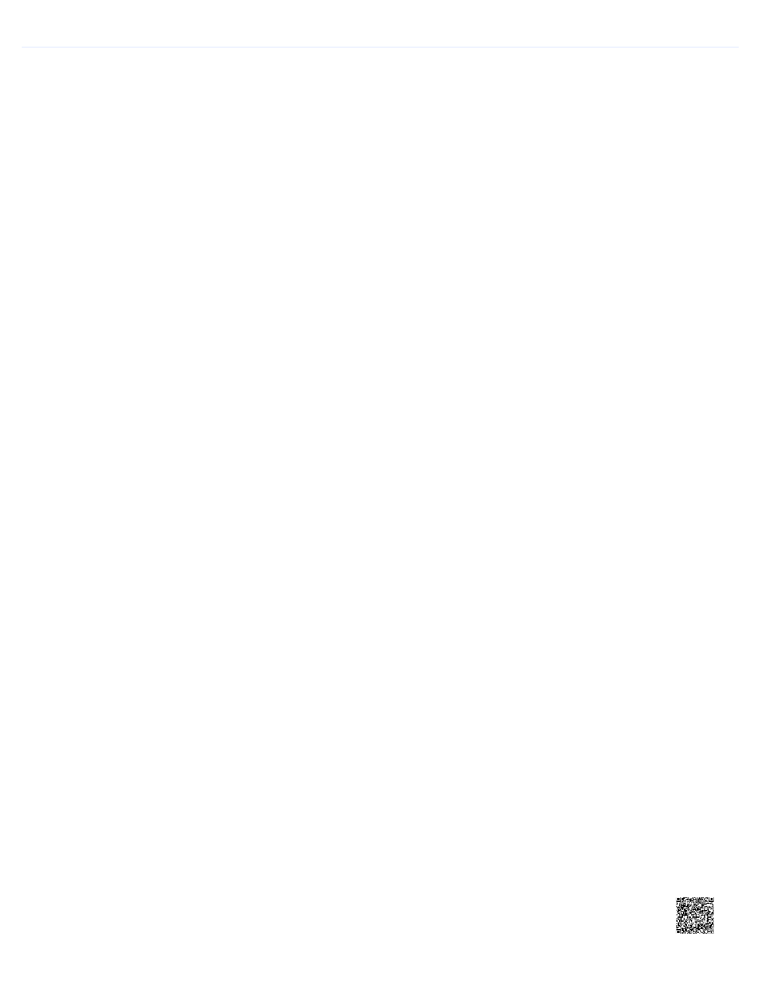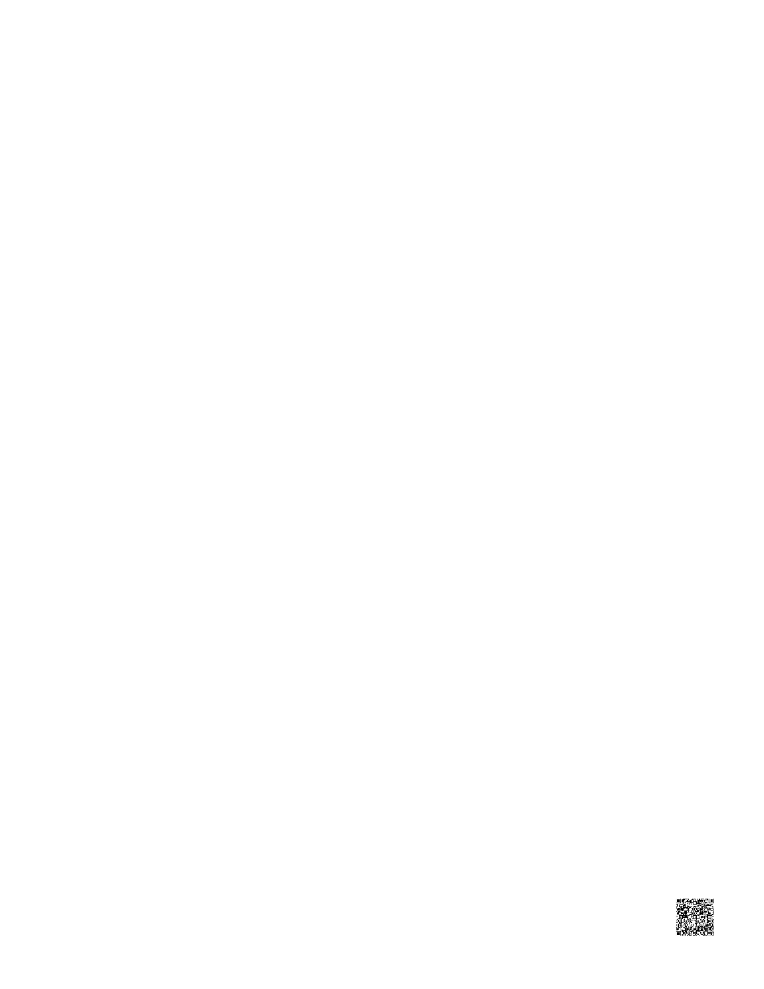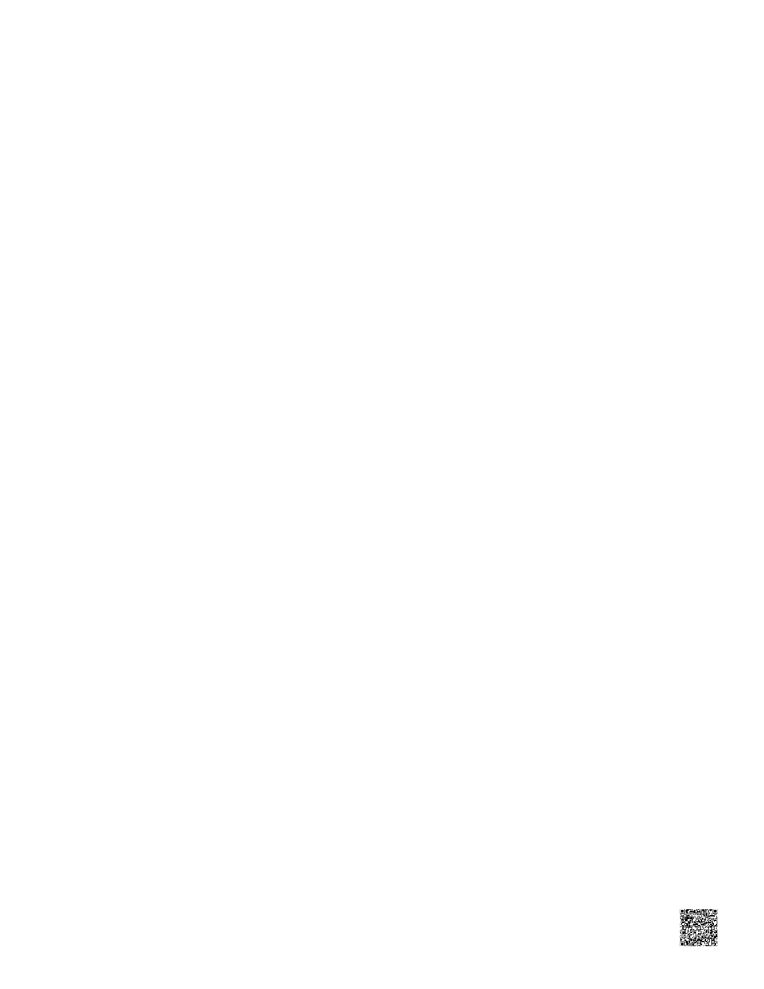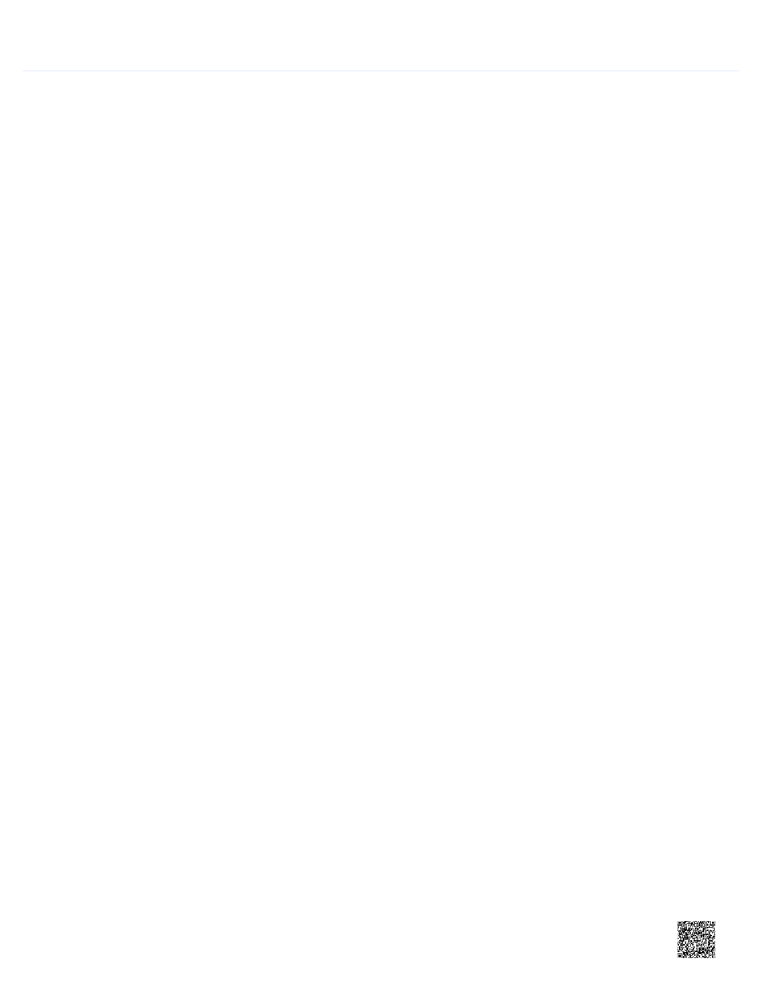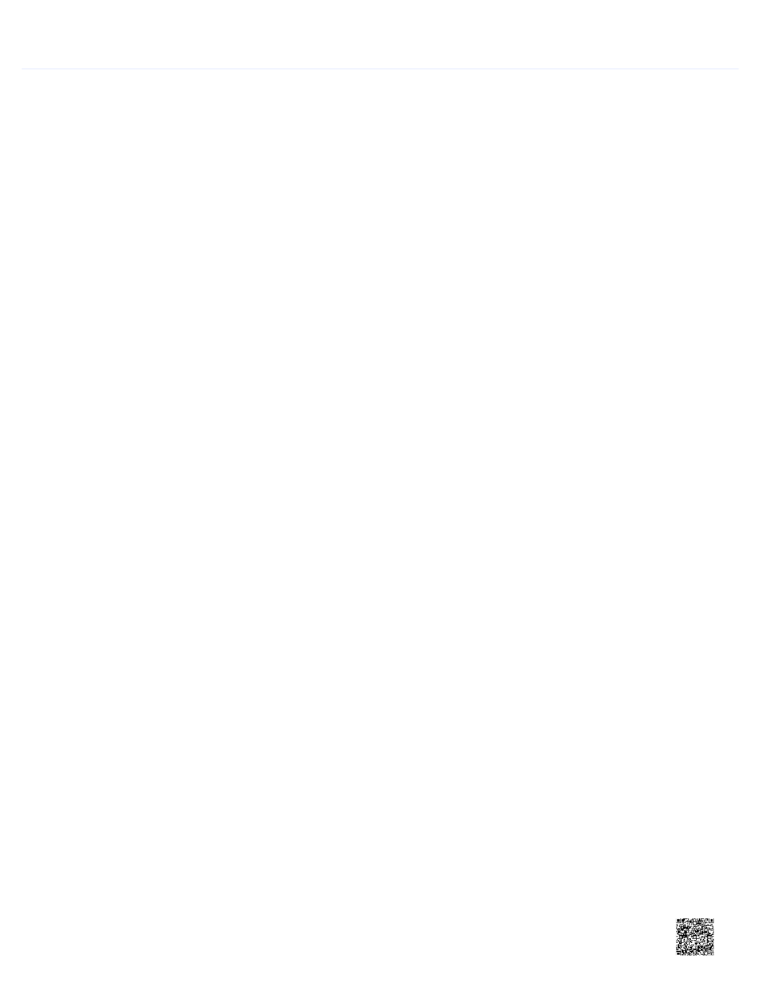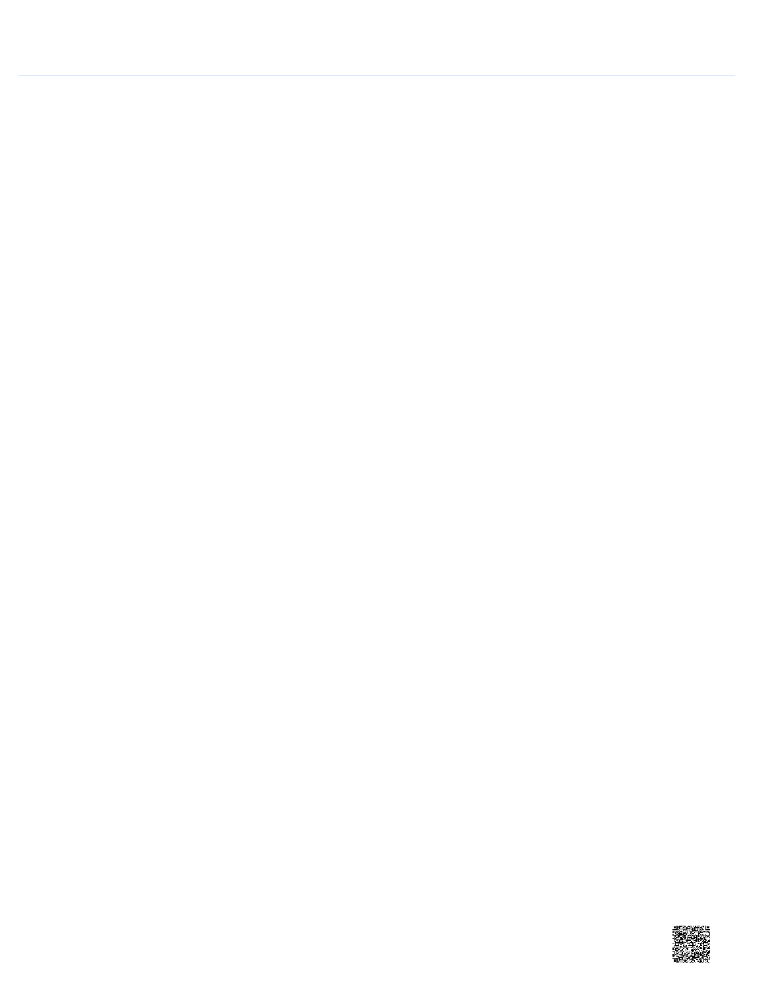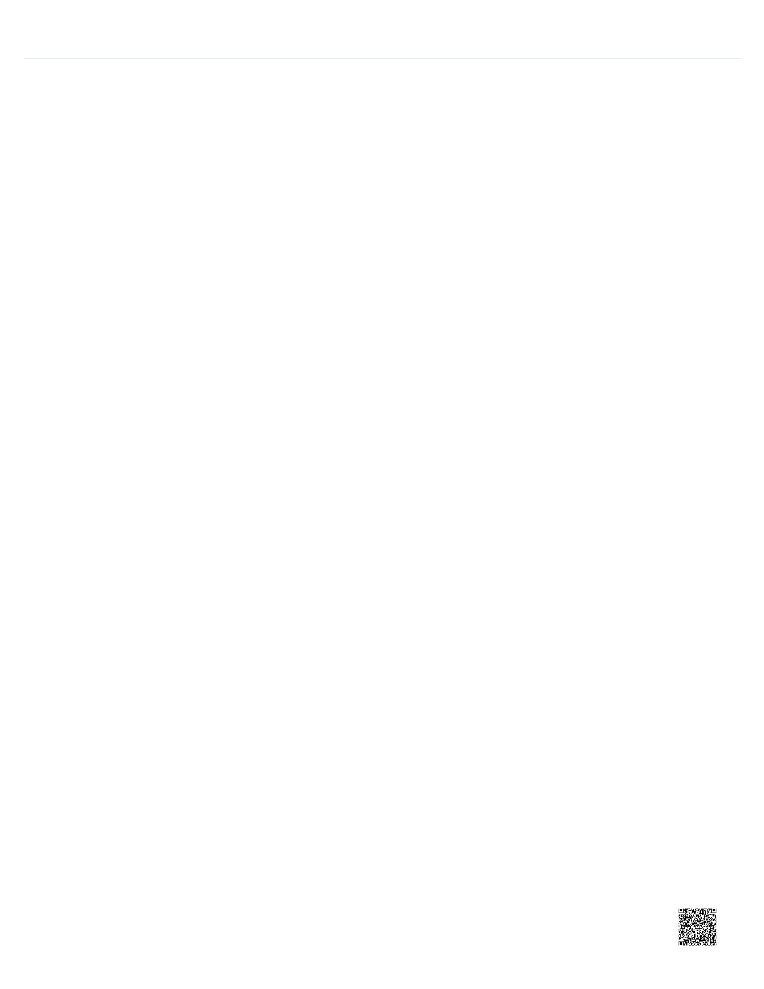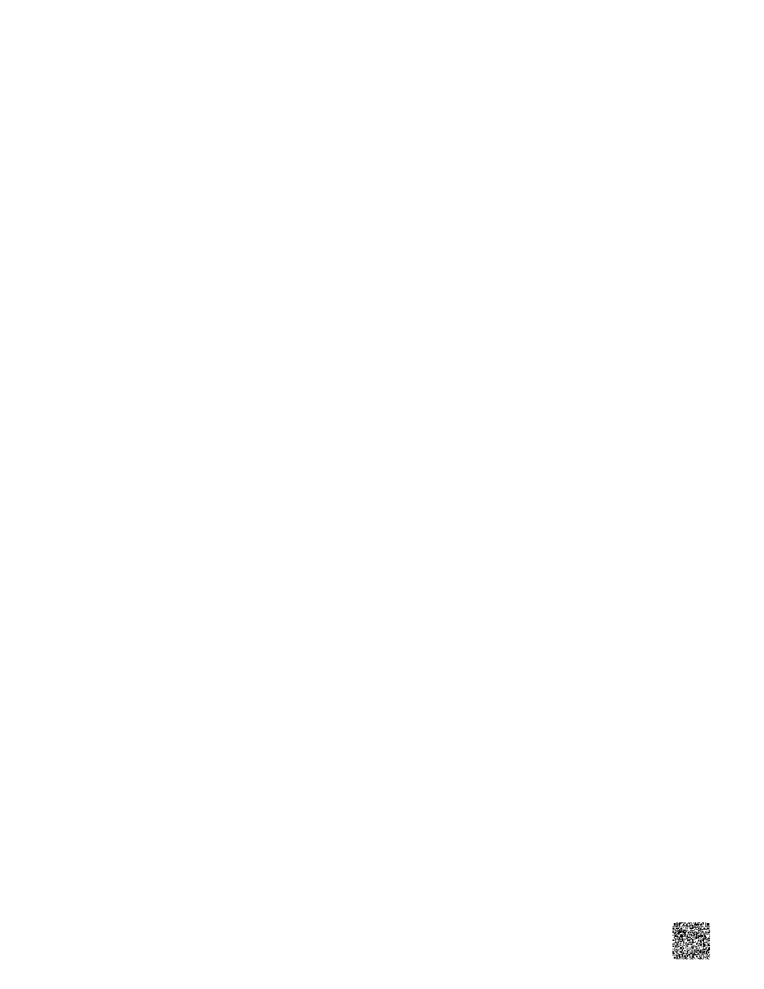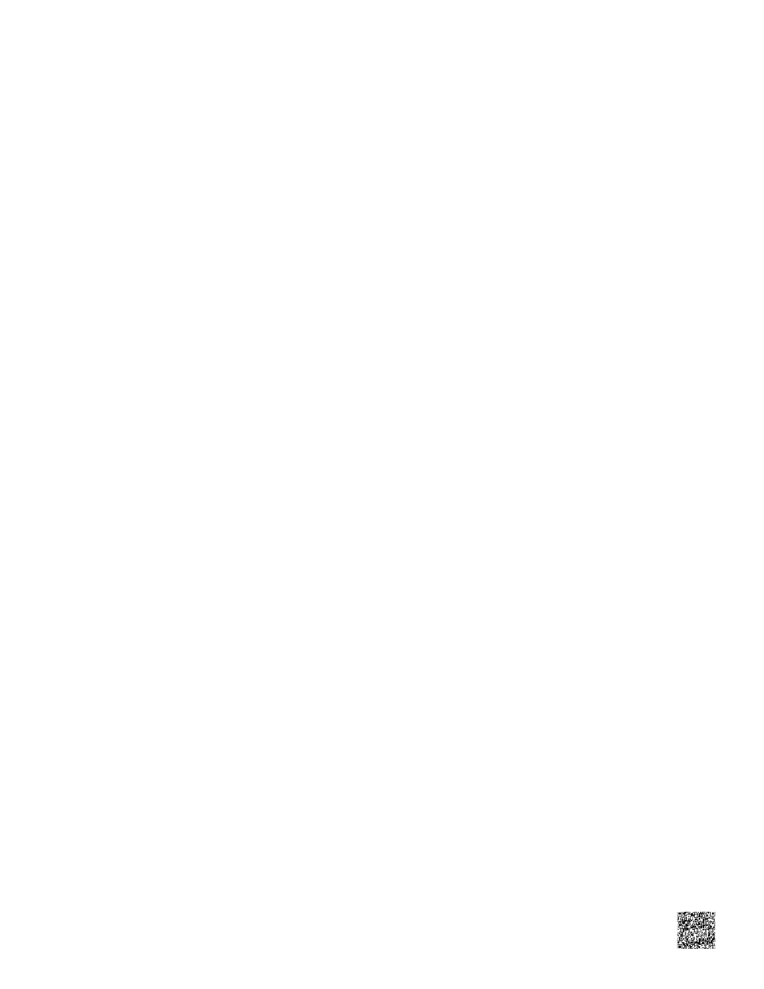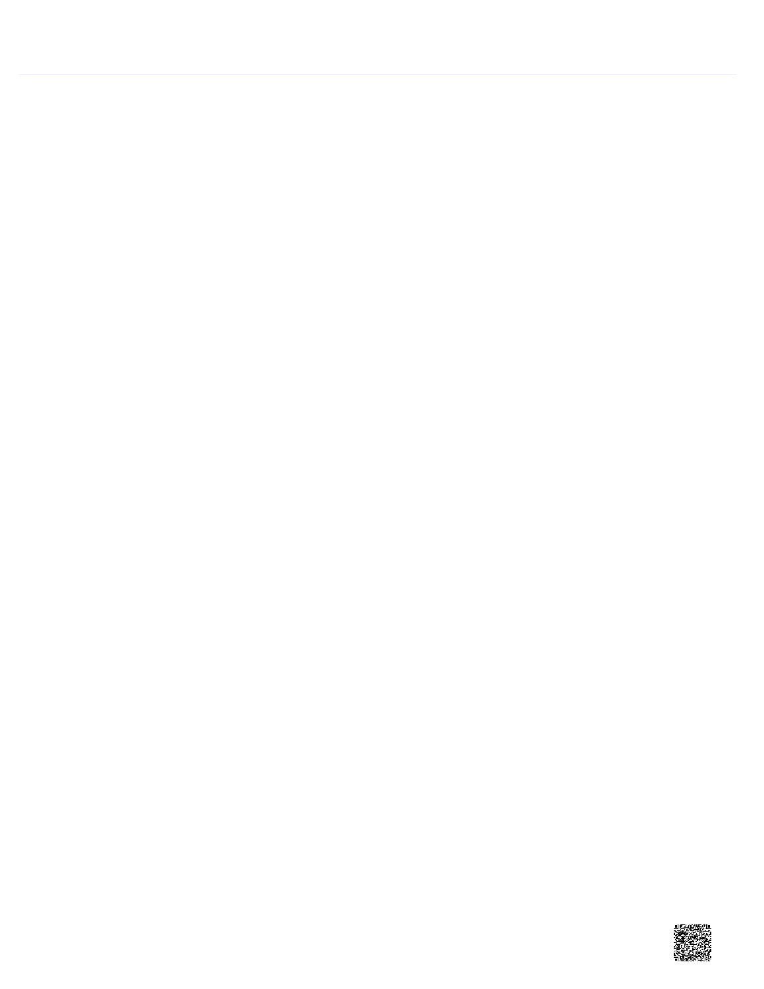